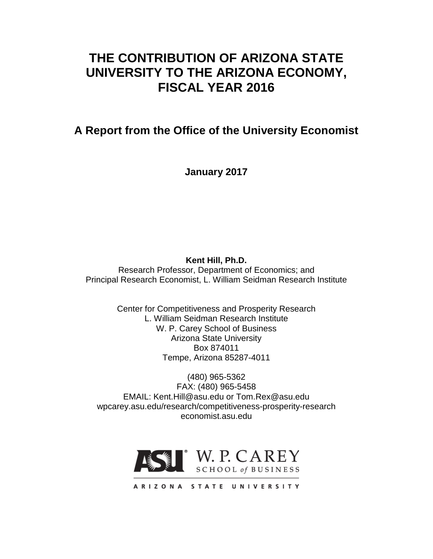# **THE CONTRIBUTION OF ARIZONA STATE UNIVERSITY TO THE ARIZONA ECONOMY, FISCAL YEAR 2016**

**A Report from the Office of the University Economist**

**January 2017**

**Kent Hill, Ph.D.**

Research Professor, Department of Economics; and Principal Research Economist, L. William Seidman Research Institute

> Center for Competitiveness and Prosperity Research L. William Seidman Research Institute W. P. Carey School of Business Arizona State University Box 874011 Tempe, Arizona 85287-4011

(480) 965-5362 FAX: (480) 965-5458 EMAIL: Kent.Hill@asu.edu or Tom.Rex@asu.edu wpcarey.asu.edu/research/competitiveness-prosperity-research economist.asu.edu



ARIZONA STATE UNIVERSITY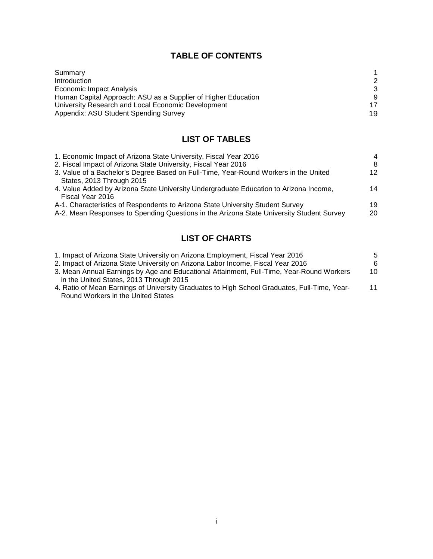# **TABLE OF CONTENTS**

| Summary                                                       |               |
|---------------------------------------------------------------|---------------|
| Introduction                                                  | $\mathcal{P}$ |
| Economic Impact Analysis                                      | 3             |
| Human Capital Approach: ASU as a Supplier of Higher Education | 9             |
| University Research and Local Economic Development            | 17            |
| Appendix: ASU Student Spending Survey                         | 19            |

# **LIST OF TABLES**

| 1. Economic Impact of Arizona State University, Fiscal Year 2016                         | $\overline{4}$ |
|------------------------------------------------------------------------------------------|----------------|
| 2. Fiscal Impact of Arizona State University, Fiscal Year 2016                           | 8              |
| 3. Value of a Bachelor's Degree Based on Full-Time, Year-Round Workers in the United     | 12             |
| States, 2013 Through 2015                                                                |                |
| 4. Value Added by Arizona State University Undergraduate Education to Arizona Income,    | 14             |
| Fiscal Year 2016                                                                         |                |
| A-1. Characteristics of Respondents to Arizona State University Student Survey           | 19             |
| A-2. Mean Responses to Spending Questions in the Arizona State University Student Survey | 20             |

# **LIST OF CHARTS**

| 1. Impact of Arizona State University on Arizona Employment, Fiscal Year 2016                | 5  |
|----------------------------------------------------------------------------------------------|----|
| 2. Impact of Arizona State University on Arizona Labor Income, Fiscal Year 2016              | 6  |
| 3. Mean Annual Earnings by Age and Educational Attainment, Full-Time, Year-Round Workers     | 10 |
| in the United States, 2013 Through 2015                                                      |    |
| 4. Ratio of Mean Earnings of University Graduates to High School Graduates, Full-Time, Year- | 11 |
| Round Workers in the United States                                                           |    |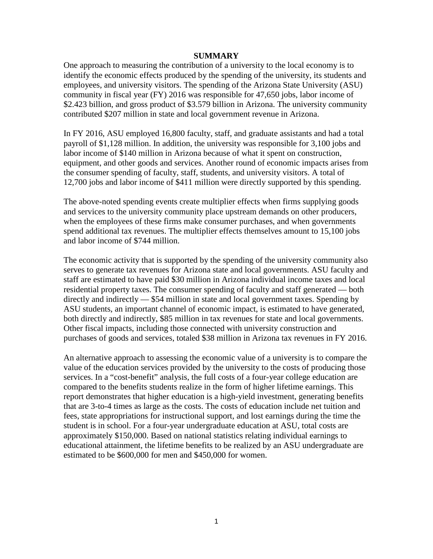#### **SUMMARY**

One approach to measuring the contribution of a university to the local economy is to identify the economic effects produced by the spending of the university, its students and employees, and university visitors. The spending of the Arizona State University (ASU) community in fiscal year (FY) 2016 was responsible for 47,650 jobs, labor income of \$2.423 billion, and gross product of \$3.579 billion in Arizona. The university community contributed \$207 million in state and local government revenue in Arizona.

In FY 2016, ASU employed 16,800 faculty, staff, and graduate assistants and had a total payroll of \$1,128 million. In addition, the university was responsible for 3,100 jobs and labor income of \$140 million in Arizona because of what it spent on construction, equipment, and other goods and services. Another round of economic impacts arises from the consumer spending of faculty, staff, students, and university visitors. A total of 12,700 jobs and labor income of \$411 million were directly supported by this spending.

The above-noted spending events create multiplier effects when firms supplying goods and services to the university community place upstream demands on other producers, when the employees of these firms make consumer purchases, and when governments spend additional tax revenues. The multiplier effects themselves amount to 15,100 jobs and labor income of \$744 million.

The economic activity that is supported by the spending of the university community also serves to generate tax revenues for Arizona state and local governments. ASU faculty and staff are estimated to have paid \$30 million in Arizona individual income taxes and local residential property taxes. The consumer spending of faculty and staff generated — both directly and indirectly — \$54 million in state and local government taxes. Spending by ASU students, an important channel of economic impact, is estimated to have generated, both directly and indirectly, \$85 million in tax revenues for state and local governments. Other fiscal impacts, including those connected with university construction and purchases of goods and services, totaled \$38 million in Arizona tax revenues in FY 2016.

An alternative approach to assessing the economic value of a university is to compare the value of the education services provided by the university to the costs of producing those services. In a "cost-benefit" analysis, the full costs of a four-year college education are compared to the benefits students realize in the form of higher lifetime earnings. This report demonstrates that higher education is a high-yield investment, generating benefits that are 3-to-4 times as large as the costs. The costs of education include net tuition and fees, state appropriations for instructional support, and lost earnings during the time the student is in school. For a four-year undergraduate education at ASU, total costs are approximately \$150,000. Based on national statistics relating individual earnings to educational attainment, the lifetime benefits to be realized by an ASU undergraduate are estimated to be \$600,000 for men and \$450,000 for women.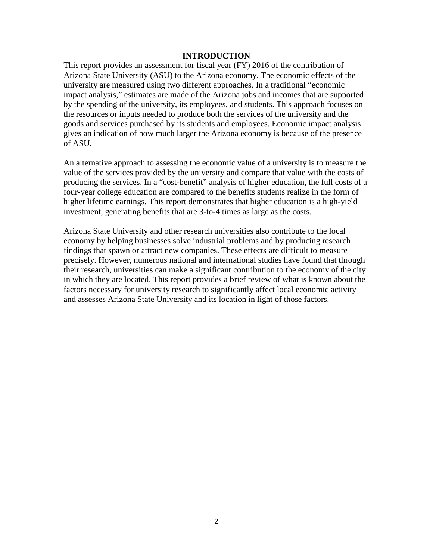#### **INTRODUCTION**

This report provides an assessment for fiscal year (FY) 2016 of the contribution of Arizona State University (ASU) to the Arizona economy. The economic effects of the university are measured using two different approaches. In a traditional "economic impact analysis," estimates are made of the Arizona jobs and incomes that are supported by the spending of the university, its employees, and students. This approach focuses on the resources or inputs needed to produce both the services of the university and the goods and services purchased by its students and employees. Economic impact analysis gives an indication of how much larger the Arizona economy is because of the presence of ASU.

An alternative approach to assessing the economic value of a university is to measure the value of the services provided by the university and compare that value with the costs of producing the services. In a "cost-benefit" analysis of higher education, the full costs of a four-year college education are compared to the benefits students realize in the form of higher lifetime earnings. This report demonstrates that higher education is a high-yield investment, generating benefits that are 3-to-4 times as large as the costs.

Arizona State University and other research universities also contribute to the local economy by helping businesses solve industrial problems and by producing research findings that spawn or attract new companies. These effects are difficult to measure precisely. However, numerous national and international studies have found that through their research, universities can make a significant contribution to the economy of the city in which they are located. This report provides a brief review of what is known about the factors necessary for university research to significantly affect local economic activity and assesses Arizona State University and its location in light of those factors.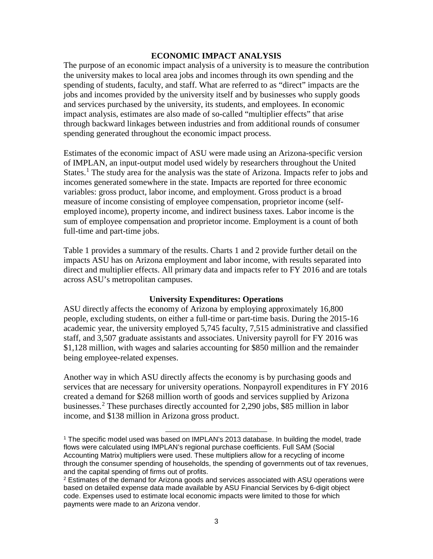#### **ECONOMIC IMPACT ANALYSIS**

The purpose of an economic impact analysis of a university is to measure the contribution the university makes to local area jobs and incomes through its own spending and the spending of students, faculty, and staff. What are referred to as "direct" impacts are the jobs and incomes provided by the university itself and by businesses who supply goods and services purchased by the university, its students, and employees. In economic impact analysis, estimates are also made of so-called "multiplier effects" that arise through backward linkages between industries and from additional rounds of consumer spending generated throughout the economic impact process.

Estimates of the economic impact of ASU were made using an Arizona-specific version of IMPLAN, an input-output model used widely by researchers throughout the United States.<sup>[1](#page-4-0)</sup> The study area for the analysis was the state of Arizona. Impacts refer to jobs and incomes generated somewhere in the state. Impacts are reported for three economic variables: gross product, labor income, and employment. Gross product is a broad measure of income consisting of employee compensation, proprietor income (selfemployed income), property income, and indirect business taxes. Labor income is the sum of employee compensation and proprietor income. Employment is a count of both full-time and part-time jobs.

Table 1 provides a summary of the results. Charts 1 and 2 provide further detail on the impacts ASU has on Arizona employment and labor income, with results separated into direct and multiplier effects. All primary data and impacts refer to FY 2016 and are totals across ASU's metropolitan campuses.

#### **University Expenditures: Operations**

ASU directly affects the economy of Arizona by employing approximately 16,800 people, excluding students, on either a full-time or part-time basis. During the 2015-16 academic year, the university employed 5,745 faculty, 7,515 administrative and classified staff, and 3,507 graduate assistants and associates. University payroll for FY 2016 was \$1,128 million, with wages and salaries accounting for \$850 million and the remainder being employee-related expenses.

Another way in which ASU directly affects the economy is by purchasing goods and services that are necessary for university operations. Nonpayroll expenditures in FY 2016 created a demand for \$268 million worth of goods and services supplied by Arizona businesses.[2](#page-4-1) These purchases directly accounted for 2,290 jobs, \$85 million in labor income, and \$138 million in Arizona gross product.

<span id="page-4-0"></span><sup>&</sup>lt;sup>1</sup> The specific model used was based on IMPLAN's 2013 database. In building the model, trade flows were calculated using IMPLAN's regional purchase coefficients. Full SAM (Social Accounting Matrix) multipliers were used. These multipliers allow for a recycling of income through the consumer spending of households, the spending of governments out of tax revenues, and the capital spending of firms out of profits.

<span id="page-4-1"></span> $2$  Estimates of the demand for Arizona goods and services associated with ASU operations were based on detailed expense data made available by ASU Financial Services by 6-digit object code. Expenses used to estimate local economic impacts were limited to those for which payments were made to an Arizona vendor.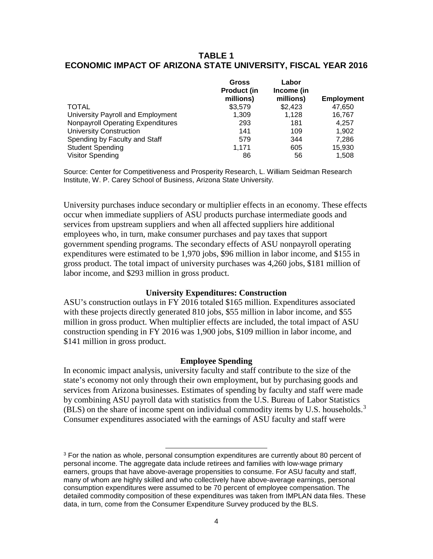### **TABLE 1 ECONOMIC IMPACT OF ARIZONA STATE UNIVERSITY, FISCAL YEAR 2016**

|                                          | Gross<br><b>Product (in</b><br>millions) | Labor<br>Income (in<br>millions) | <b>Employment</b> |
|------------------------------------------|------------------------------------------|----------------------------------|-------------------|
| <b>TOTAL</b>                             | \$3,579                                  | \$2,423                          | 47,650            |
| University Payroll and Employment        | 1.309                                    | 1.128                            | 16.767            |
| <b>Nonpayroll Operating Expenditures</b> | 293                                      | 181                              | 4,257             |
| <b>University Construction</b>           | 141                                      | 109                              | 1,902             |
| Spending by Faculty and Staff            | 579                                      | 344                              | 7.286             |
| <b>Student Spending</b>                  | 1.171                                    | 605                              | 15,930            |
| <b>Visitor Spending</b>                  | 86                                       | 56                               | 1.508             |

Source: Center for Competitiveness and Prosperity Research, L. William Seidman Research Institute, W. P. Carey School of Business, Arizona State University.

University purchases induce secondary or multiplier effects in an economy. These effects occur when immediate suppliers of ASU products purchase intermediate goods and services from upstream suppliers and when all affected suppliers hire additional employees who, in turn, make consumer purchases and pay taxes that support government spending programs. The secondary effects of ASU nonpayroll operating expenditures were estimated to be 1,970 jobs, \$96 million in labor income, and \$155 in gross product. The total impact of university purchases was 4,260 jobs, \$181 million of labor income, and \$293 million in gross product.

#### **University Expenditures: Construction**

ASU's construction outlays in FY 2016 totaled \$165 million. Expenditures associated with these projects directly generated 810 jobs, \$55 million in labor income, and \$55 million in gross product. When multiplier effects are included, the total impact of ASU construction spending in FY 2016 was 1,900 jobs, \$109 million in labor income, and \$141 million in gross product.

#### **Employee Spending**

In economic impact analysis, university faculty and staff contribute to the size of the state's economy not only through their own employment, but by purchasing goods and services from Arizona businesses. Estimates of spending by faculty and staff were made by combining ASU payroll data with statistics from the U.S. Bureau of Labor Statistics  $(BLS)$  on the share of income spent on individual commodity items by U.S. households.<sup>[3](#page-5-0)</sup> Consumer expenditures associated with the earnings of ASU faculty and staff were

<span id="page-5-0"></span> $3$  For the nation as whole, personal consumption expenditures are currently about 80 percent of personal income. The aggregate data include retirees and families with low-wage primary earners, groups that have above-average propensities to consume. For ASU faculty and staff, many of whom are highly skilled and who collectively have above-average earnings, personal consumption expenditures were assumed to be 70 percent of employee compensation. The detailed commodity composition of these expenditures was taken from IMPLAN data files. These data, in turn, come from the Consumer Expenditure Survey produced by the BLS.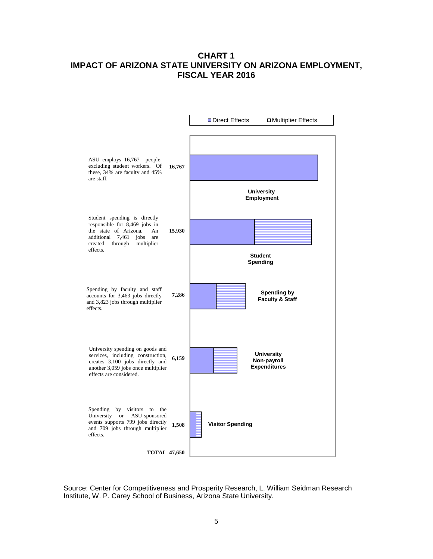## **CHART 1 IMPACT OF ARIZONA STATE UNIVERSITY ON ARIZONA EMPLOYMENT, FISCAL YEAR 2016**



Source: Center for Competitiveness and Prosperity Research, L. William Seidman Research Institute, W. P. Carey School of Business, Arizona State University.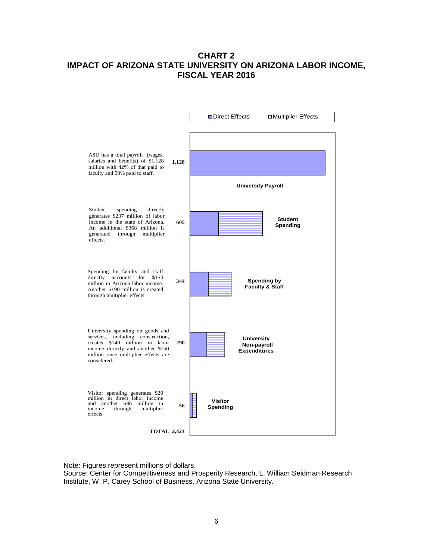# **CHART 2 IMPACT OF ARIZONA STATE UNIVERSITY ON ARIZONA LABOR INCOME, FISCAL YEAR 2016**



Note: Figures represent millions of dollars.

Source: Center for Competitiveness and Prosperity Research, L. William Seidman Research Institute, W. P. Carey School of Business, Arizona State University.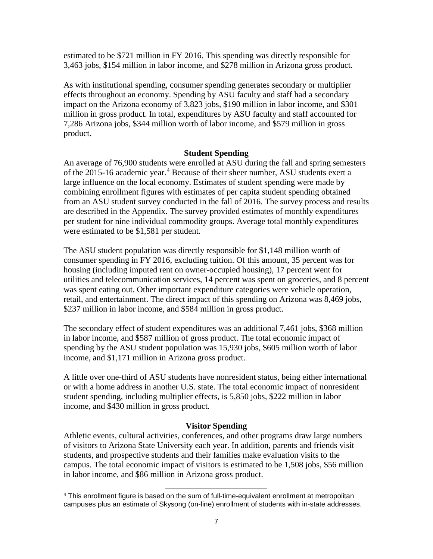estimated to be \$721 million in FY 2016. This spending was directly responsible for 3,463 jobs, \$154 million in labor income, and \$278 million in Arizona gross product.

As with institutional spending, consumer spending generates secondary or multiplier effects throughout an economy. Spending by ASU faculty and staff had a secondary impact on the Arizona economy of 3,823 jobs, \$190 million in labor income, and \$301 million in gross product. In total, expenditures by ASU faculty and staff accounted for 7,286 Arizona jobs, \$344 million worth of labor income, and \$579 million in gross product.

#### **Student Spending**

An average of 76,900 students were enrolled at ASU during the fall and spring semesters of the 2015-16 academic year.<sup>[4](#page-8-0)</sup> Because of their sheer number, ASU students exert a large influence on the local economy. Estimates of student spending were made by combining enrollment figures with estimates of per capita student spending obtained from an ASU student survey conducted in the fall of 2016. The survey process and results are described in the Appendix. The survey provided estimates of monthly expenditures per student for nine individual commodity groups. Average total monthly expenditures were estimated to be \$1,581 per student.

The ASU student population was directly responsible for \$1,148 million worth of consumer spending in FY 2016, excluding tuition. Of this amount, 35 percent was for housing (including imputed rent on owner-occupied housing), 17 percent went for utilities and telecommunication services, 14 percent was spent on groceries, and 8 percent was spent eating out. Other important expenditure categories were vehicle operation, retail, and entertainment. The direct impact of this spending on Arizona was 8,469 jobs, \$237 million in labor income, and \$584 million in gross product.

The secondary effect of student expenditures was an additional 7,461 jobs, \$368 million in labor income, and \$587 million of gross product. The total economic impact of spending by the ASU student population was 15,930 jobs, \$605 million worth of labor income, and \$1,171 million in Arizona gross product.

A little over one-third of ASU students have nonresident status, being either international or with a home address in another U.S. state. The total economic impact of nonresident student spending, including multiplier effects, is 5,850 jobs, \$222 million in labor income, and \$430 million in gross product.

#### **Visitor Spending**

Athletic events, cultural activities, conferences, and other programs draw large numbers of visitors to Arizona State University each year. In addition, parents and friends visit students, and prospective students and their families make evaluation visits to the campus. The total economic impact of visitors is estimated to be 1,508 jobs, \$56 million in labor income, and \$86 million in Arizona gross product.

<span id="page-8-0"></span><sup>&</sup>lt;sup>4</sup> This enrollment figure is based on the sum of full-time-equivalent enrollment at metropolitan campuses plus an estimate of Skysong (on-line) enrollment of students with in-state addresses.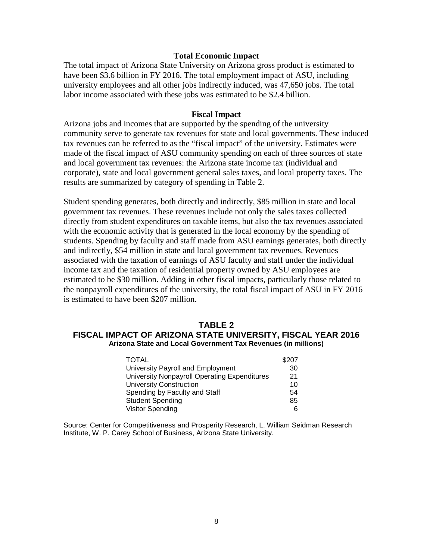#### **Total Economic Impact**

The total impact of Arizona State University on Arizona gross product is estimated to have been \$3.6 billion in FY 2016. The total employment impact of ASU, including university employees and all other jobs indirectly induced, was 47,650 jobs. The total labor income associated with these jobs was estimated to be \$2.4 billion.

#### **Fiscal Impact**

Arizona jobs and incomes that are supported by the spending of the university community serve to generate tax revenues for state and local governments. These induced tax revenues can be referred to as the "fiscal impact" of the university. Estimates were made of the fiscal impact of ASU community spending on each of three sources of state and local government tax revenues: the Arizona state income tax (individual and corporate), state and local government general sales taxes, and local property taxes. The results are summarized by category of spending in Table 2.

Student spending generates, both directly and indirectly, \$85 million in state and local government tax revenues. These revenues include not only the sales taxes collected directly from student expenditures on taxable items, but also the tax revenues associated with the economic activity that is generated in the local economy by the spending of students. Spending by faculty and staff made from ASU earnings generates, both directly and indirectly, \$54 million in state and local government tax revenues. Revenues associated with the taxation of earnings of ASU faculty and staff under the individual income tax and the taxation of residential property owned by ASU employees are estimated to be \$30 million. Adding in other fiscal impacts, particularly those related to the nonpayroll expenditures of the university, the total fiscal impact of ASU in FY 2016 is estimated to have been \$207 million.

#### **TABLE 2 FISCAL IMPACT OF ARIZONA STATE UNIVERSITY, FISCAL YEAR 2016 Arizona State and Local Government Tax Revenues (in millions)**

| <b>TOTAL</b>                                        | \$207 |
|-----------------------------------------------------|-------|
| University Payroll and Employment                   | 30    |
| <b>University Nonpayroll Operating Expenditures</b> | 21    |
| <b>University Construction</b>                      | 10    |
| Spending by Faculty and Staff                       | 54    |
| <b>Student Spending</b>                             | 85    |
| <b>Visitor Spending</b>                             | 6     |

Source: Center for Competitiveness and Prosperity Research, L. William Seidman Research Institute, W. P. Carey School of Business, Arizona State University.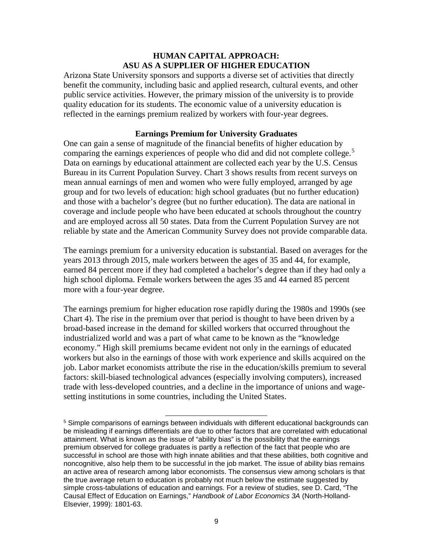#### **HUMAN CAPITAL APPROACH: ASU AS A SUPPLIER OF HIGHER EDUCATION**

Arizona State University sponsors and supports a diverse set of activities that directly benefit the community, including basic and applied research, cultural events, and other public service activities. However, the primary mission of the university is to provide quality education for its students. The economic value of a university education is reflected in the earnings premium realized by workers with four-year degrees.

#### **Earnings Premium for University Graduates**

One can gain a sense of magnitude of the financial benefits of higher education by comparing the earnings experiences of people who did and did not complete college.<sup>[5](#page-10-0)</sup> Data on earnings by educational attainment are collected each year by the U.S. Census Bureau in its Current Population Survey. Chart 3 shows results from recent surveys on mean annual earnings of men and women who were fully employed, arranged by age group and for two levels of education: high school graduates (but no further education) and those with a bachelor's degree (but no further education). The data are national in coverage and include people who have been educated at schools throughout the country and are employed across all 50 states. Data from the Current Population Survey are not reliable by state and the American Community Survey does not provide comparable data.

The earnings premium for a university education is substantial. Based on averages for the years 2013 through 2015, male workers between the ages of 35 and 44, for example, earned 84 percent more if they had completed a bachelor's degree than if they had only a high school diploma. Female workers between the ages 35 and 44 earned 85 percent more with a four-year degree.

The earnings premium for higher education rose rapidly during the 1980s and 1990s (see Chart 4). The rise in the premium over that period is thought to have been driven by a broad-based increase in the demand for skilled workers that occurred throughout the industrialized world and was a part of what came to be known as the "knowledge economy." High skill premiums became evident not only in the earnings of educated workers but also in the earnings of those with work experience and skills acquired on the job. Labor market economists attribute the rise in the education/skills premium to several factors: skill-biased technological advances (especially involving computers), increased trade with less-developed countries, and a decline in the importance of unions and wagesetting institutions in some countries, including the United States.

<span id="page-10-0"></span><sup>&</sup>lt;sup>5</sup> Simple comparisons of earnings between individuals with different educational backgrounds can be misleading if earnings differentials are due to other factors that are correlated with educational attainment. What is known as the issue of "ability bias" is the possibility that the earnings premium observed for college graduates is partly a reflection of the fact that people who are successful in school are those with high innate abilities and that these abilities, both cognitive and noncognitive, also help them to be successful in the job market. The issue of ability bias remains an active area of research among labor economists. The consensus view among scholars is that the true average return to education is probably not much below the estimate suggested by simple cross-tabulations of education and earnings. For a review of studies, see D. Card, "The Causal Effect of Education on Earnings," *Handbook of Labor Economics 3A* (North-Holland-Elsevier, 1999): 1801-63.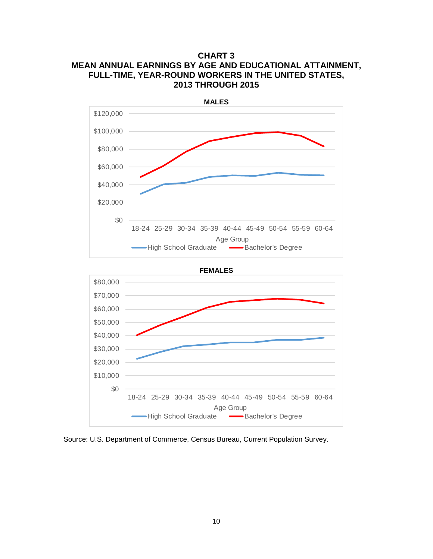# **CHART 3 MEAN ANNUAL EARNINGS BY AGE AND EDUCATIONAL ATTAINMENT, FULL-TIME, YEAR-ROUND WORKERS IN THE UNITED STATES, 2013 THROUGH 2015**



**FEMALES**



Source: U.S. Department of Commerce, Census Bureau, Current Population Survey.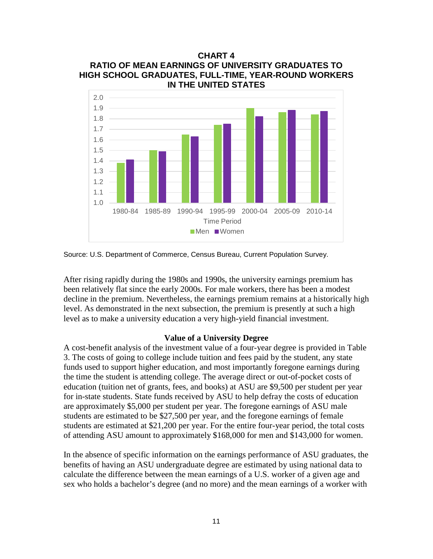

Source: U.S. Department of Commerce, Census Bureau, Current Population Survey.

After rising rapidly during the 1980s and 1990s, the university earnings premium has been relatively flat since the early 2000s. For male workers, there has been a modest decline in the premium. Nevertheless, the earnings premium remains at a historically high level. As demonstrated in the next subsection, the premium is presently at such a high level as to make a university education a very high-yield financial investment.

#### **Value of a University Degree**

A cost-benefit analysis of the investment value of a four-year degree is provided in Table 3. The costs of going to college include tuition and fees paid by the student, any state funds used to support higher education, and most importantly foregone earnings during the time the student is attending college. The average direct or out-of-pocket costs of education (tuition net of grants, fees, and books) at ASU are \$9,500 per student per year for in-state students. State funds received by ASU to help defray the costs of education are approximately \$5,000 per student per year. The foregone earnings of ASU male students are estimated to be \$27,500 per year, and the foregone earnings of female students are estimated at \$21,200 per year. For the entire four-year period, the total costs of attending ASU amount to approximately \$168,000 for men and \$143,000 for women.

In the absence of specific information on the earnings performance of ASU graduates, the benefits of having an ASU undergraduate degree are estimated by using national data to calculate the difference between the mean earnings of a U.S. worker of a given age and sex who holds a bachelor's degree (and no more) and the mean earnings of a worker with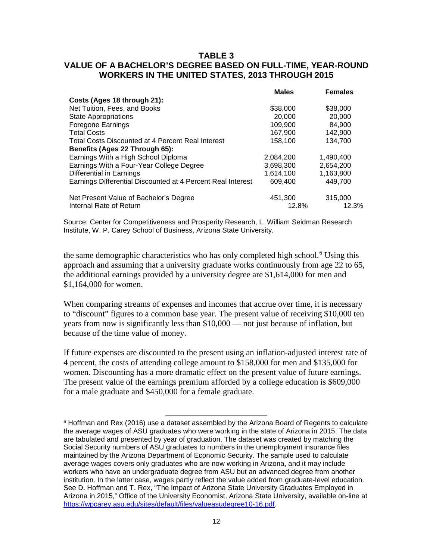### **TABLE 3 VALUE OF A BACHELOR'S DEGREE BASED ON FULL-TIME, YEAR-ROUND WORKERS IN THE UNITED STATES, 2013 THROUGH 2015**

|                                                             | <b>Males</b> | <b>Females</b> |
|-------------------------------------------------------------|--------------|----------------|
| Costs (Ages 18 through 21):                                 |              |                |
| Net Tuition, Fees, and Books                                | \$38,000     | \$38,000       |
| <b>State Appropriations</b>                                 | 20,000       | 20,000         |
| <b>Foregone Earnings</b>                                    | 109.900      | 84,900         |
| <b>Total Costs</b>                                          | 167,900      | 142,900        |
| <b>Total Costs Discounted at 4 Percent Real Interest</b>    | 158,100      | 134,700        |
| Benefits (Ages 22 Through 65):                              |              |                |
| Earnings With a High School Diploma                         | 2,084,200    | 1,490,400      |
| Earnings With a Four-Year College Degree                    | 3,698,300    | 2,654,200      |
| Differential in Earnings                                    | 1.614.100    | 1,163,800      |
| Earnings Differential Discounted at 4 Percent Real Interest | 609,400      | 449,700        |
| Net Present Value of Bachelor's Degree                      | 451,300      | 315,000        |
| Internal Rate of Return                                     | 12.8%        | 12.3%          |

Source: Center for Competitiveness and Prosperity Research, L. William Seidman Research Institute, W. P. Carey School of Business, Arizona State University.

the same demographic characteristics who has only completed high school.<sup>[6](#page-13-0)</sup> Using this approach and assuming that a university graduate works continuously from age 22 to 65, the additional earnings provided by a university degree are \$1,614,000 for men and \$1,164,000 for women.

When comparing streams of expenses and incomes that accrue over time, it is necessary to "discount" figures to a common base year. The present value of receiving \$10,000 ten years from now is significantly less than \$10,000 — not just because of inflation, but because of the time value of money.

If future expenses are discounted to the present using an inflation-adjusted interest rate of 4 percent, the costs of attending college amount to \$158,000 for men and \$135,000 for women. Discounting has a more dramatic effect on the present value of future earnings. The present value of the earnings premium afforded by a college education is \$609,000 for a male graduate and \$450,000 for a female graduate.

<span id="page-13-0"></span> $6$  Hoffman and Rex (2016) use a dataset assembled by the Arizona Board of Regents to calculate the average wages of ASU graduates who were working in the state of Arizona in 2015. The data are tabulated and presented by year of graduation. The dataset was created by matching the Social Security numbers of ASU graduates to numbers in the unemployment insurance files maintained by the Arizona Department of Economic Security. The sample used to calculate average wages covers only graduates who are now working in Arizona, and it may include workers who have an undergraduate degree from ASU but an advanced degree from another institution. In the latter case, wages partly reflect the value added from graduate-level education. See D. Hoffman and T. Rex, "The Impact of Arizona State University Graduates Employed in Arizona in 2015," Office of the University Economist, Arizona State University, available on-line at [https://wpcarey.asu.edu/sites/default/files/valueasudegree10-16.pdf.](https://wpcarey.asu.edu/sites/default/files/valueasudegree10-16.pdf)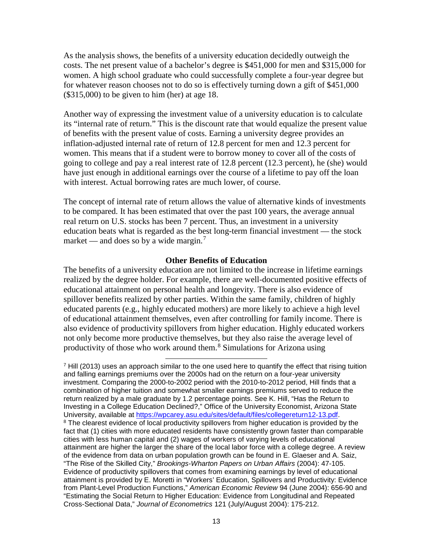As the analysis shows, the benefits of a university education decidedly outweigh the costs. The net present value of a bachelor's degree is \$451,000 for men and \$315,000 for women. A high school graduate who could successfully complete a four-year degree but for whatever reason chooses not to do so is effectively turning down a gift of \$451,000  $($315,000)$  to be given to him (her) at age 18.

Another way of expressing the investment value of a university education is to calculate its "internal rate of return." This is the discount rate that would equalize the present value of benefits with the present value of costs. Earning a university degree provides an inflation-adjusted internal rate of return of 12.8 percent for men and 12.3 percent for women. This means that if a student were to borrow money to cover all of the costs of going to college and pay a real interest rate of 12.8 percent (12.3 percent), he (she) would have just enough in additional earnings over the course of a lifetime to pay off the loan with interest. Actual borrowing rates are much lower, of course.

The concept of internal rate of return allows the value of alternative kinds of investments to be compared. It has been estimated that over the past 100 years, the average annual real return on U.S. stocks has been 7 percent. Thus, an investment in a university education beats what is regarded as the best long-term financial investment — the stock market — and does so by a wide margin.<sup>[7](#page-14-0)</sup>

#### **Other Benefits of Education**

The benefits of a university education are not limited to the increase in lifetime earnings realized by the degree holder. For example, there are well-documented positive effects of educational attainment on personal health and longevity. There is also evidence of spillover benefits realized by other parties. Within the same family, children of highly educated parents (e.g., highly educated mothers) are more likely to achieve a high level of educational attainment themselves, even after controlling for family income. There is also evidence of productivity spillovers from higher education. Highly educated workers not only become more productive themselves, but they also raise the average level of productivity of those who work around them.<sup>[8](#page-14-1)</sup> Simulations for Arizona using

 $\overline{a}$ 

<span id="page-14-1"></span><span id="page-14-0"></span> $<sup>7</sup>$  Hill (2013) uses an approach similar to the one used here to quantify the effect that rising tuition</sup> and falling earnings premiums over the 2000s had on the return on a four-year university investment. Comparing the 2000-to-2002 period with the 2010-to-2012 period, Hill finds that a combination of higher tuition and somewhat smaller earnings premiums served to reduce the return realized by a male graduate by 1.2 percentage points. See K. Hill, "Has the Return to Investing in a College Education Declined?," Office of the University Economist, Arizona State University, available at [https://wpcarey.asu.edu/sites/default/files/collegereturn12-13.pdf.](https://wpcarey.asu.edu/sites/default/files/collegereturn12-13.pdf) <sup>8</sup> The clearest evidence of local productivity spillovers from higher education is provided by the fact that (1) cities with more educated residents have consistently grown faster than comparable cities with less human capital and (2) wages of workers of varying levels of educational attainment are higher the larger the share of the local labor force with a college degree. A review of the evidence from data on urban population growth can be found in E. Glaeser and A. Saiz, "The Rise of the Skilled City," *Brookings-Wharton Papers on Urban Affairs* (2004): 47-105. Evidence of productivity spillovers that comes from examining earnings by level of educational attainment is provided by E. Moretti in "Workers' Education, Spillovers and Productivity: Evidence from Plant-Level Production Functions," *American Economic Review* 94 (June 2004): 656-90 and "Estimating the Social Return to Higher Education: Evidence from Longitudinal and Repeated Cross-Sectional Data," *Journal of Econometrics* 121 (July/August 2004): 175-212.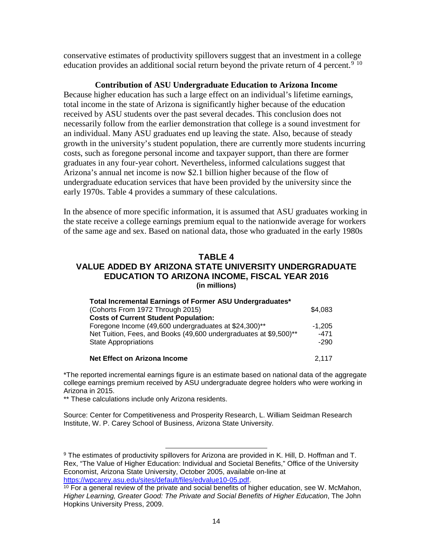conservative estimates of productivity spillovers suggest that an investment in a college education provides an additional social return beyond the private return of 4 percent.<sup>[9](#page-15-0) [10](#page-15-1)</sup>

#### **Contribution of ASU Undergraduate Education to Arizona Income**

Because higher education has such a large effect on an individual's lifetime earnings, total income in the state of Arizona is significantly higher because of the education received by ASU students over the past several decades. This conclusion does not necessarily follow from the earlier demonstration that college is a sound investment for an individual. Many ASU graduates end up leaving the state. Also, because of steady growth in the university's student population, there are currently more students incurring costs, such as foregone personal income and taxpayer support, than there are former graduates in any four-year cohort. Nevertheless, informed calculations suggest that Arizona's annual net income is now \$2.1 billion higher because of the flow of undergraduate education services that have been provided by the university since the early 1970s. Table 4 provides a summary of these calculations.

In the absence of more specific information, it is assumed that ASU graduates working in the state receive a college earnings premium equal to the nationwide average for workers of the same age and sex. Based on national data, those who graduated in the early 1980s

# **TABLE 4**

#### **VALUE ADDED BY ARIZONA STATE UNIVERSITY UNDERGRADUATE EDUCATION TO ARIZONA INCOME, FISCAL YEAR 2016 (in millions)**

| Total Incremental Earnings of Former ASU Undergraduates*          |          |
|-------------------------------------------------------------------|----------|
| (Cohorts From 1972 Through 2015)                                  | \$4,083  |
| <b>Costs of Current Student Population:</b>                       |          |
| Foregone Income (49,600 undergraduates at \$24,300)**             | $-1.205$ |
| Net Tuition, Fees, and Books (49,600 undergraduates at \$9,500)** | $-471$   |
| <b>State Appropriations</b>                                       | $-290$   |
|                                                                   |          |
| <b>Net Effect on Arizona Income</b>                               | 2.117    |

\*The reported incremental earnings figure is an estimate based on national data of the aggregate college earnings premium received by ASU undergraduate degree holders who were working in Arizona in 2015.

\*\* These calculations include only Arizona residents.

Source: Center for Competitiveness and Prosperity Research, L. William Seidman Research Institute, W. P. Carey School of Business, Arizona State University.

<span id="page-15-0"></span> $\overline{a}$ 9 The estimates of productivity spillovers for Arizona are provided in K. Hill, D. Hoffman and T. Rex, "The Value of Higher Education: Individual and Societal Benefits," Office of the University Economist, Arizona State University, October 2005, available on-line at [https://wpcarey.asu.edu/sites/default/files/edvalue10-05.pdf.](https://wpcarey.asu.edu/sites/default/files/edvalue10-05.pdf)

<span id="page-15-1"></span> $10$  For a general review of the private and social benefits of higher education, see W. McMahon, *Higher Learning, Greater Good: The Private and Social Benefits of Higher Education*, The John Hopkins University Press, 2009.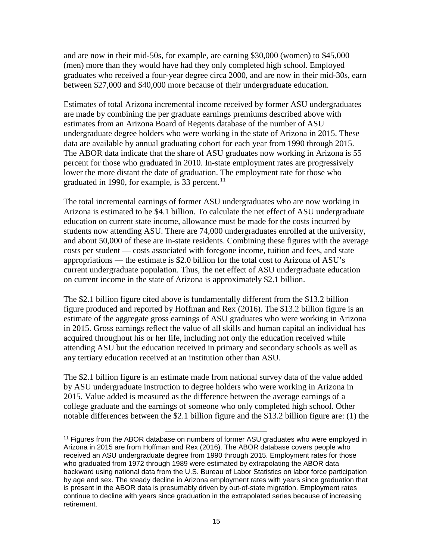and are now in their mid-50s, for example, are earning \$30,000 (women) to \$45,000 (men) more than they would have had they only completed high school. Employed graduates who received a four-year degree circa 2000, and are now in their mid-30s, earn between \$27,000 and \$40,000 more because of their undergraduate education.

Estimates of total Arizona incremental income received by former ASU undergraduates are made by combining the per graduate earnings premiums described above with estimates from an Arizona Board of Regents database of the number of ASU undergraduate degree holders who were working in the state of Arizona in 2015. These data are available by annual graduating cohort for each year from 1990 through 2015. The ABOR data indicate that the share of ASU graduates now working in Arizona is 55 percent for those who graduated in 2010. In-state employment rates are progressively lower the more distant the date of graduation. The employment rate for those who graduated in 1990, for example, is 33 percent. $11$ 

The total incremental earnings of former ASU undergraduates who are now working in Arizona is estimated to be \$4.1 billion. To calculate the net effect of ASU undergraduate education on current state income, allowance must be made for the costs incurred by students now attending ASU. There are 74,000 undergraduates enrolled at the university, and about 50,000 of these are in-state residents. Combining these figures with the average costs per student — costs associated with foregone income, tuition and fees, and state appropriations — the estimate is \$2.0 billion for the total cost to Arizona of ASU's current undergraduate population. Thus, the net effect of ASU undergraduate education on current income in the state of Arizona is approximately \$2.1 billion.

The \$2.1 billion figure cited above is fundamentally different from the \$13.2 billion figure produced and reported by Hoffman and Rex (2016). The \$13.2 billion figure is an estimate of the aggregate gross earnings of ASU graduates who were working in Arizona in 2015. Gross earnings reflect the value of all skills and human capital an individual has acquired throughout his or her life, including not only the education received while attending ASU but the education received in primary and secondary schools as well as any tertiary education received at an institution other than ASU.

The \$2.1 billion figure is an estimate made from national survey data of the value added by ASU undergraduate instruction to degree holders who were working in Arizona in 2015. Value added is measured as the difference between the average earnings of a college graduate and the earnings of someone who only completed high school. Other notable differences between the \$2.1 billion figure and the \$13.2 billion figure are: (1) the

<span id="page-16-0"></span><sup>&</sup>lt;sup>11</sup> Figures from the ABOR database on numbers of former ASU graduates who were employed in Arizona in 2015 are from Hoffman and Rex (2016). The ABOR database covers people who received an ASU undergraduate degree from 1990 through 2015. Employment rates for those who graduated from 1972 through 1989 were estimated by extrapolating the ABOR data backward using national data from the U.S. Bureau of Labor Statistics on labor force participation by age and sex. The steady decline in Arizona employment rates with years since graduation that is present in the ABOR data is presumably driven by out-of-state migration. Employment rates continue to decline with years since graduation in the extrapolated series because of increasing retirement.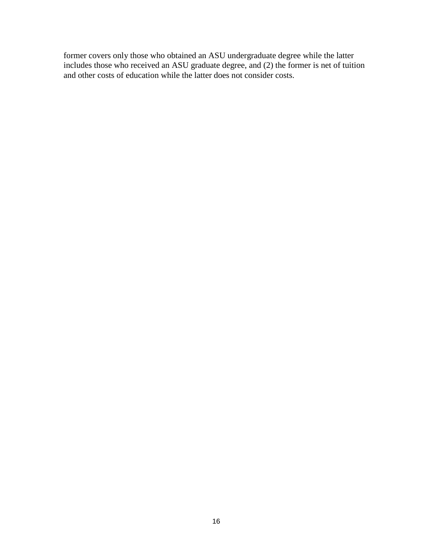former covers only those who obtained an ASU undergraduate degree while the latter includes those who received an ASU graduate degree, and (2) the former is net of tuition and other costs of education while the latter does not consider costs.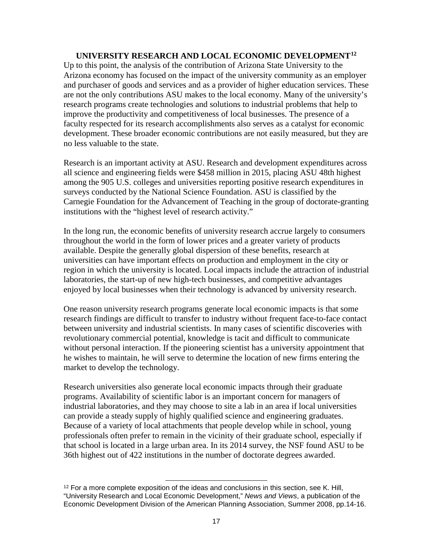# **UNIVERSITY RESEARCH AND LOCAL ECONOMIC DEVELOPMENT[12](#page-18-0)**

Up to this point, the analysis of the contribution of Arizona State University to the Arizona economy has focused on the impact of the university community as an employer and purchaser of goods and services and as a provider of higher education services. These are not the only contributions ASU makes to the local economy. Many of the university's research programs create technologies and solutions to industrial problems that help to improve the productivity and competitiveness of local businesses. The presence of a faculty respected for its research accomplishments also serves as a catalyst for economic development. These broader economic contributions are not easily measured, but they are no less valuable to the state.

Research is an important activity at ASU. Research and development expenditures across all science and engineering fields were \$458 million in 2015, placing ASU 48th highest among the 905 U.S. colleges and universities reporting positive research expenditures in surveys conducted by the National Science Foundation. ASU is classified by the Carnegie Foundation for the Advancement of Teaching in the group of doctorate-granting institutions with the "highest level of research activity."

In the long run, the economic benefits of university research accrue largely to consumers throughout the world in the form of lower prices and a greater variety of products available. Despite the generally global dispersion of these benefits, research at universities can have important effects on production and employment in the city or region in which the university is located. Local impacts include the attraction of industrial laboratories, the start-up of new high-tech businesses, and competitive advantages enjoyed by local businesses when their technology is advanced by university research.

One reason university research programs generate local economic impacts is that some research findings are difficult to transfer to industry without frequent face-to-face contact between university and industrial scientists. In many cases of scientific discoveries with revolutionary commercial potential, knowledge is tacit and difficult to communicate without personal interaction. If the pioneering scientist has a university appointment that he wishes to maintain, he will serve to determine the location of new firms entering the market to develop the technology.

Research universities also generate local economic impacts through their graduate programs. Availability of scientific labor is an important concern for managers of industrial laboratories, and they may choose to site a lab in an area if local universities can provide a steady supply of highly qualified science and engineering graduates. Because of a variety of local attachments that people develop while in school, young professionals often prefer to remain in the vicinity of their graduate school, especially if that school is located in a large urban area. In its 2014 survey, the NSF found ASU to be 36th highest out of 422 institutions in the number of doctorate degrees awarded.

<span id="page-18-0"></span> $\overline{a}$  $12$  For a more complete exposition of the ideas and conclusions in this section, see K. Hill, "University Research and Local Economic Development," *News and Views*, a publication of the Economic Development Division of the American Planning Association, Summer 2008, pp.14-16.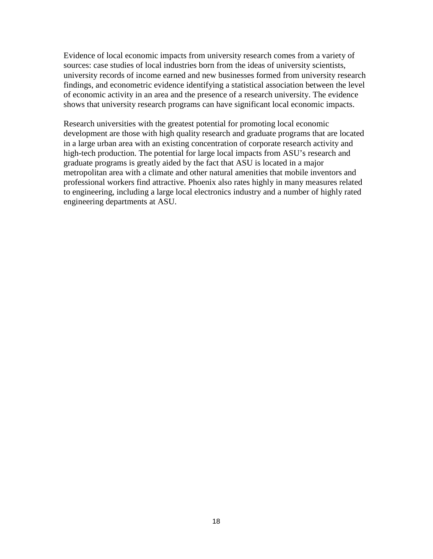Evidence of local economic impacts from university research comes from a variety of sources: case studies of local industries born from the ideas of university scientists, university records of income earned and new businesses formed from university research findings, and econometric evidence identifying a statistical association between the level of economic activity in an area and the presence of a research university. The evidence shows that university research programs can have significant local economic impacts.

Research universities with the greatest potential for promoting local economic development are those with high quality research and graduate programs that are located in a large urban area with an existing concentration of corporate research activity and high-tech production. The potential for large local impacts from ASU's research and graduate programs is greatly aided by the fact that ASU is located in a major metropolitan area with a climate and other natural amenities that mobile inventors and professional workers find attractive. Phoenix also rates highly in many measures related to engineering, including a large local electronics industry and a number of highly rated engineering departments at ASU.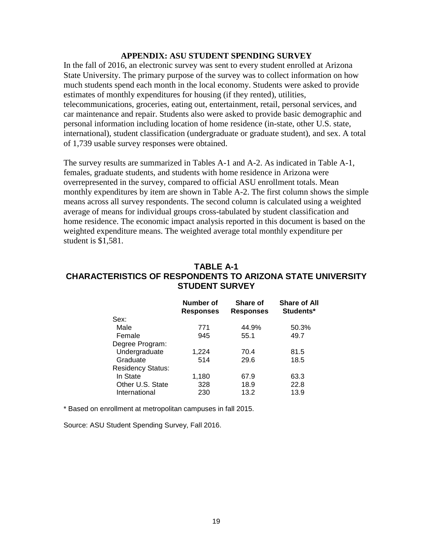#### **APPENDIX: ASU STUDENT SPENDING SURVEY**

In the fall of 2016, an electronic survey was sent to every student enrolled at Arizona State University. The primary purpose of the survey was to collect information on how much students spend each month in the local economy. Students were asked to provide estimates of monthly expenditures for housing (if they rented), utilities, telecommunications, groceries, eating out, entertainment, retail, personal services, and car maintenance and repair. Students also were asked to provide basic demographic and personal information including location of home residence (in-state, other U.S. state, international), student classification (undergraduate or graduate student), and sex. A total of 1,739 usable survey responses were obtained.

The survey results are summarized in Tables A-1 and A-2. As indicated in Table A-1, females, graduate students, and students with home residence in Arizona were overrepresented in the survey, compared to official ASU enrollment totals. Mean monthly expenditures by item are shown in Table A-2. The first column shows the simple means across all survey respondents. The second column is calculated using a weighted average of means for individual groups cross-tabulated by student classification and home residence. The economic impact analysis reported in this document is based on the weighted expenditure means. The weighted average total monthly expenditure per student is \$1,581.

### **TABLE A-1 CHARACTERISTICS OF RESPONDENTS TO ARIZONA STATE UNIVERSITY STUDENT SURVEY**

|                          | Number of<br><b>Responses</b> | Share of<br><b>Responses</b> | <b>Share of All</b><br>Students* |
|--------------------------|-------------------------------|------------------------------|----------------------------------|
| Sex:                     |                               |                              |                                  |
| Male                     | 771                           | 44.9%                        | 50.3%                            |
| Female                   | 945                           | 55.1                         | 49.7                             |
| Degree Program:          |                               |                              |                                  |
| Undergraduate            | 1,224                         | 70.4                         | 81.5                             |
| Graduate                 | 514                           | 29.6                         | 18.5                             |
| <b>Residency Status:</b> |                               |                              |                                  |
| In State                 | 1,180                         | 67.9                         | 63.3                             |
| Other U.S. State         | 328                           | 18.9                         | 22.8                             |
| International            | 230                           | 13.2                         | 13.9                             |

\* Based on enrollment at metropolitan campuses in fall 2015.

Source: ASU Student Spending Survey, Fall 2016.